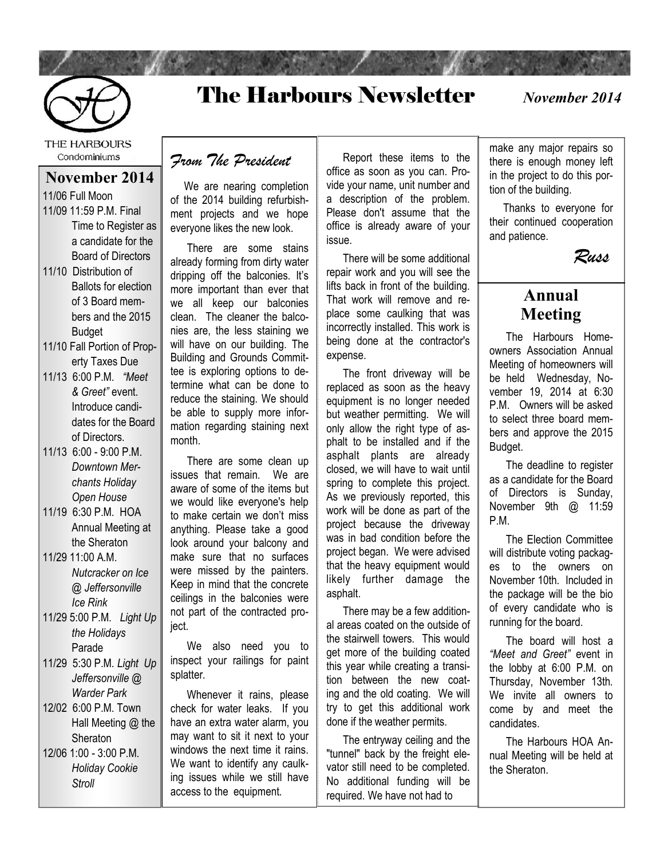

## The Harbours Newsletter

*November 2014*

THE HARBOURS Condominiums

#### **November 2014**

11/06 Full Moon 11/09 11:59 P.M. Final Time to Register as a candidate for the Board of Directors

- 11/10 Distribution of Ballots for election of 3 Board members and the 2015 Budget
- 11/10 Fall Portion of Property Taxes Due
- 11/13 6:00 P.M. *"Meet & Greet"* event. Introduce candidates for the Board of Directors.
- 11/13 6:00 9:00 P.M. *Downtown Merchants Holiday Open House*
- 11/19 6:30 P.M. HOA Annual Meeting at the Sheraton
- 11/29 11:00 A.M. *Nutcracker on Ice @ Jeffersonville Ice Rink*
- 11/29 5:00 P.M. *Light Up the Holidays*  Parade
- 11/29 5:30 P.M. *Light Up Jeffersonville @ Warder Park*
- 12/02 6:00 P.M. Town Hall Meeting @ the **Sheraton** 12/06 1:00 - 3:00 P.M. *Holiday Cookie Stroll*

*From The President*

 We are nearing completion of the 2014 building refurbishment projects and we hope everyone likes the new look.

 There are some stains already forming from dirty water dripping off the balconies. It's more important than ever that we all keep our balconies clean. The cleaner the balconies are, the less staining we will have on our building. The Building and Grounds Committee is exploring options to determine what can be done to reduce the staining. We should be able to supply more information regarding staining next month.

 There are some clean up issues that remain. We are aware of some of the items but we would like everyone's help to make certain we don't miss anything. Please take a good look around your balcony and make sure that no surfaces were missed by the painters. Keep in mind that the concrete ceilings in the balconies were not part of the contracted project.

 We also need you to inspect your railings for paint splatter.

 Whenever it rains, please check for water leaks. If you have an extra water alarm, you may want to sit it next to your windows the next time it rains. We want to identify any caulking issues while we still have access to the equipment.

 Report these items to the office as soon as you can. Provide your name, unit number and a description of the problem. Please don't assume that the office is already aware of your issue.

 There will be some additional repair work and you will see the lifts back in front of the building. That work will remove and replace some caulking that was incorrectly installed. This work is being done at the contractor's expense.

 The front driveway will be replaced as soon as the heavy equipment is no longer needed but weather permitting. We will only allow the right type of asphalt to be installed and if the asphalt plants are already closed, we will have to wait until spring to complete this project. As we previously reported, this work will be done as part of the project because the driveway was in bad condition before the project began. We were advised that the heavy equipment would likely further damage the asphalt.

 There may be a few additional areas coated on the outside of the stairwell towers. This would get more of the building coated this year while creating a transition between the new coating and the old coating. We will try to get this additional work done if the weather permits.

 The entryway ceiling and the "tunnel" back by the freight elevator still need to be completed. No additional funding will be required. We have not had to

make any major repairs so there is enough money left in the project to do this portion of the building.

 Thanks to everyone for their continued cooperation and patience.



### **Annual Meeting**

 The Harbours Homeowners Association Annual Meeting of homeowners will be held Wednesday, November 19, 2014 at 6:30 P.M. Owners will be asked to select three board members and approve the 2015 Budget.

 The deadline to register as a candidate for the Board of Directors is Sunday, November 9th @ 11:59 P.M.

 The Election Committee will distribute voting packages to the owners on November 10th. Included in the package will be the bio of every candidate who is running for the board.

 The board will host a *"Meet and Greet"* event in the lobby at 6:00 P.M. on Thursday, November 13th. We invite all owners to come by and meet the candidates.

 The Harbours HOA Annual Meeting will be held at the Sheraton.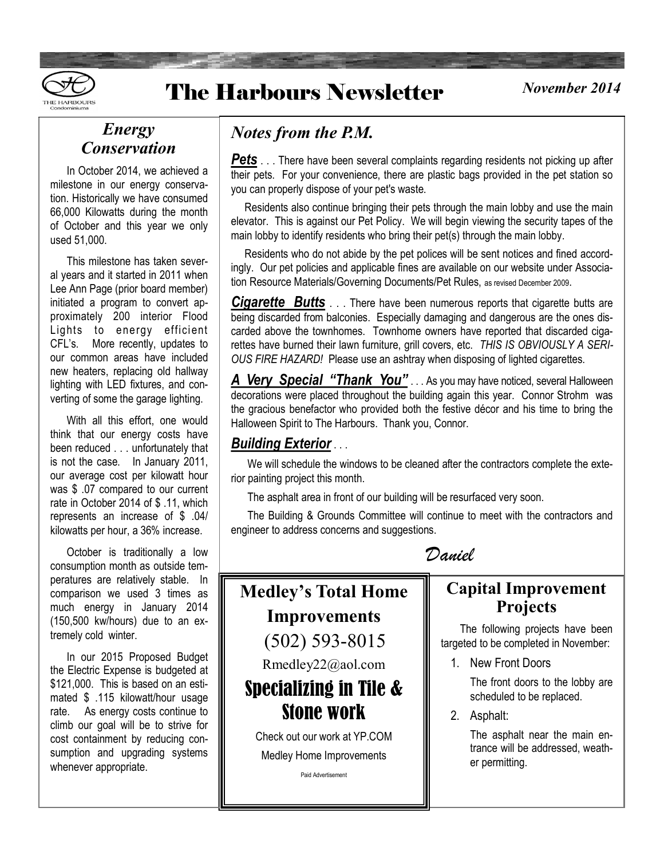

## **The Harbours Newsletter**

#### *November 2014*

### *Energy Conservation*

 In October 2014, we achieved a milestone in our energy conservation. Historically we have consumed 66,000 Kilowatts during the month of October and this year we only used 51,000.

 This milestone has taken several years and it started in 2011 when Lee Ann Page (prior board member) initiated a program to convert approximately 200 interior Flood Lights to energy efficient CFL's. More recently, updates to our common areas have included new heaters, replacing old hallway lighting with LED fixtures, and converting of some the garage lighting.

 With all this effort, one would think that our energy costs have been reduced . . . unfortunately that is not the case. In January 2011, our average cost per kilowatt hour was \$ .07 compared to our current rate in October 2014 of \$ .11, which represents an increase of \$ .04/ kilowatts per hour, a 36% increase.

 October is traditionally a low consumption month as outside temperatures are relatively stable. In comparison we used 3 times as much energy in January 2014 (150,500 kw/hours) due to an extremely cold winter.

 In our 2015 Proposed Budget the Electric Expense is budgeted at \$121,000. This is based on an estimated \$ .115 kilowatt/hour usage rate. As energy costs continue to climb our goal will be to strive for cost containment by reducing consumption and upgrading systems whenever appropriate.

### *Notes from the P.M.*

**Pets** . . . There have been several complaints regarding residents not picking up after their pets. For your convenience, there are plastic bags provided in the pet station so you can properly dispose of your pet's waste.

 Residents also continue bringing their pets through the main lobby and use the main elevator. This is against our Pet Policy. We will begin viewing the security tapes of the main lobby to identify residents who bring their pet(s) through the main lobby.

 Residents who do not abide by the pet polices will be sent notices and fined accordingly. Our pet policies and applicable fines are available on our website under Association Resource Materials/Governing Documents/Pet Rules, as revised December 2009.

*Cigarette Butts* . . . There have been numerous reports that cigarette butts are being discarded from balconies. Especially damaging and dangerous are the ones discarded above the townhomes. Townhome owners have reported that discarded cigarettes have burned their lawn furniture, grill covers, etc. *THIS IS OBVIOUSLY A SERI-OUS FIRE HAZARD!* Please use an ashtray when disposing of lighted cigarettes.

*A Very Special "Thank You"* . . . As you may have noticed, several Halloween decorations were placed throughout the building again this year. Connor Strohm was the gracious benefactor who provided both the festive décor and his time to bring the Halloween Spirit to The Harbours. Thank you, Connor.

#### *Building Exterior* . . .

 We will schedule the windows to be cleaned after the contractors complete the exterior painting project this month.

The asphalt area in front of our building will be resurfaced very soon.

 The Building & Grounds Committee will continue to meet with the contractors and engineer to address concerns and suggestions.

*Daniel*



#### **Capital Improvement Projects**

 The following projects have been targeted to be completed in November:

1. New Front Doors

The front doors to the lobby are scheduled to be replaced.

2. Asphalt:

The asphalt near the main entrance will be addressed, weather permitting.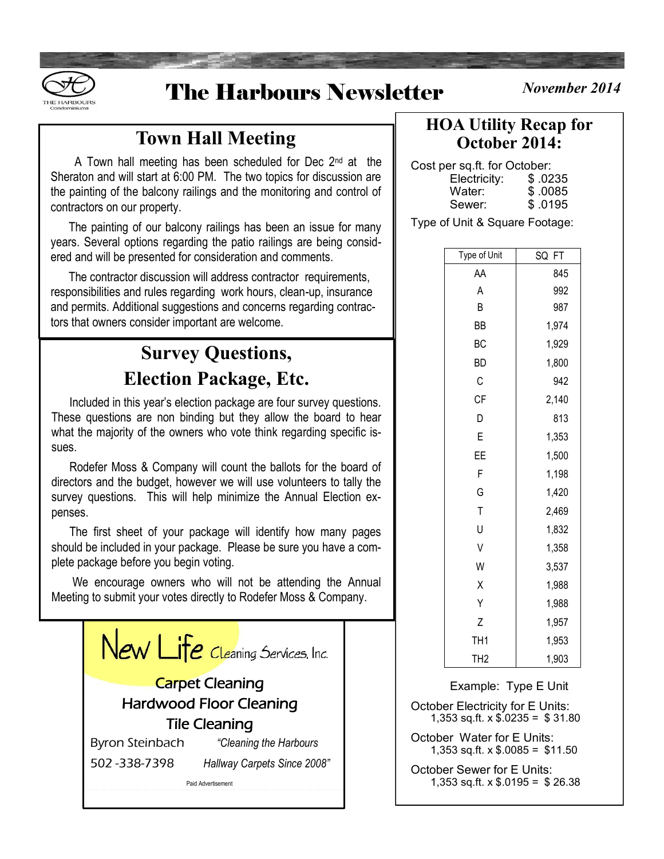

## The Harbours Newsletter *November 2014*

### **Town Hall Meeting**

A Town hall meeting has been scheduled for Dec 2<sup>nd</sup> at the Sheraton and will start at 6:00 PM. The two topics for discussion are the painting of the balcony railings and the monitoring and control of contractors on our property.

 The painting of our balcony railings has been an issue for many years. Several options regarding the patio railings are being considered and will be presented for consideration and comments.

 The contractor discussion will address contractor requirements, responsibilities and rules regarding work hours, clean-up, insurance and permits. Additional suggestions and concerns regarding contractors that owners consider important are welcome.

### **Survey Questions, Election Package, Etc.**

 Included in this year's election package are four survey questions. These questions are non binding but they allow the board to hear what the majority of the owners who vote think regarding specific issues.

 Rodefer Moss & Company will count the ballots for the board of directors and the budget, however we will use volunteers to tally the survey questions. This will help minimize the Annual Election expenses.

 The first sheet of your package will identify how many pages should be included in your package. Please be sure you have a complete package before you begin voting.

 We encourage owners who will not be attending the Annual Meeting to submit your votes directly to Rodefer Moss & Company.



### **HOA Utility Recap for October 2014:**

Cost per sq.ft. for October:

| Electricity: | \$.0235  |
|--------------|----------|
| Water:       | \$.0085  |
| Sewer:       | \$ .0195 |

Type of Unit & Square Footage:

| Type of Unit    | SQ<br>FT |
|-----------------|----------|
| AΑ              | 845      |
| Α               | 992      |
| B               | 987      |
| ΒB              | 1,974    |
| BC              | 1,929    |
| ВD              | 1,800    |
| С               | 942      |
| <b>CF</b>       | 2,140    |
| D               | 813      |
| E               | 1,353    |
| ΕE              | 1,500    |
| F               | 1,198    |
| G               | 1,420    |
| T               | 2,469    |
| U               | 1,832    |
| V               | 1,358    |
| W               | 3,537    |
| Χ               | 1,988    |
| Υ               | 1,988    |
| Z               | 1,957    |
| TH <sub>1</sub> | 1,953    |
| TH <sub>2</sub> | 1,903    |

Example: Type E Unit October Electricity for E Units: 1,353 sq.ft.  $\times$  \$.0235 = \$31.80 October Water for E Units: 1,353 sq.ft.  $\times$  \$.0085 = \$11.50 October Sewer for E Units: 1,353 sq.ft. x \$.0195 = \$ 26.38